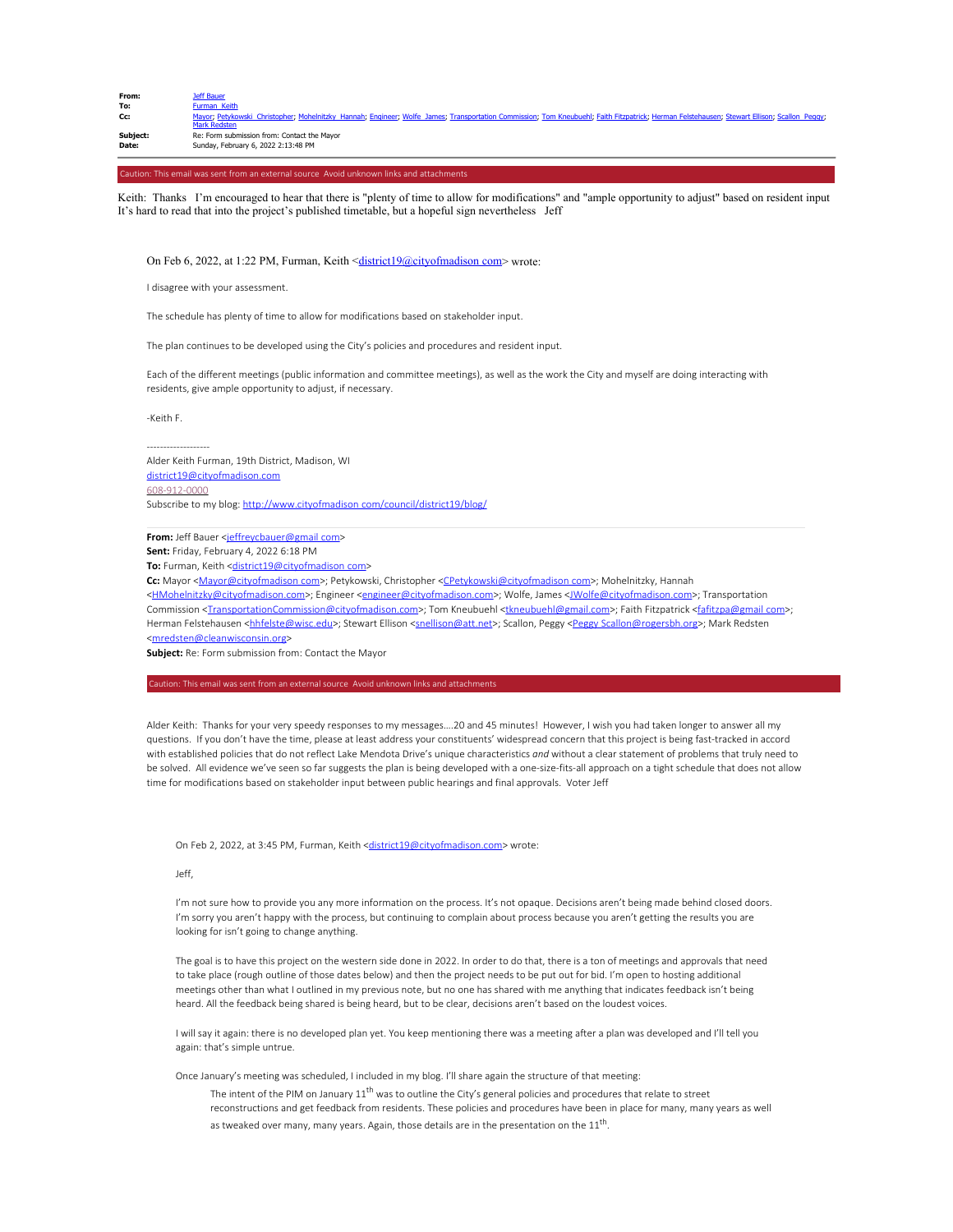| From: | Jeff Bauer          |  |
|-------|---------------------|--|
| To:   | <b>Furman Keith</b> |  |

**Cc:** Mayor; Petykowski Christopher; Mohelnitzky Hannah; Engineer; Wolfe James; Transportation Commission; Tom Kneubuehl; Faith Fitzpatrick; Herman Felstehausen; Stewart Ellison; Scallon Peggy; Mark Redsten<br>**Subject:** Re: Form submission from: Contact the Mayor **Date:** Sunday, February 6, 2022 2:13:48 PM

Caution: This email was sent from an external source Avoid unknown links and attachments

Keith: Thanks I'm encouraged to hear that there is "plenty of time to allow for modifications" and "ample opportunity to adjust" based on resident input It's hard to read that into the project's published timetable, but a hopeful sign nevertheless Jeff

On Feb 6, 2022, at 1:22 PM, Furman, Keith <district19@cityofmadison com> wrote:

I disagree with your assessment.

The schedule has plenty of time to allow for modifications based on stakeholder input.

The plan continues to be developed using the City's policies and procedures and resident input.

Each of the different meetings (public information and committee meetings), as well as the work the City and myself are doing interacting with residents, give ample opportunity to adjust, if necessary.

-Keith F.

------------------- Alder Keith Furman, 19th District, Madison, WI district19@cityofmadico 608-912-0000 Subscribe to my blog: http://www.cityofmadison com/council/district19/blog/

From: Jeff Bauer <jeffreycbauer@gmail com>

**Sent:** Friday, February 4, 2022 6:18 PM

To: Furman, Keith <district19@cityofmadison com>

**Cc:** Mayor <Mayor@cityofmadison com>; Petykowski, Christopher <CPetykowski@cityofmadison com>; Mohelnitzky, Hannah

<HMohelnitzky@cityofmadison.com>; Engineer <engineer@cityofmadison.com>; Wolfe, James <JWolfe@cityofmadison.com>; Transportation Commission <TransportationCommission@cityofmadison.com>; Tom Kneubuehl <tkneubuehl@gmail.com>; Faith Fitzpatrick <fafitzpa@gmail com>; Herman Felstehausen <hhfelste@wisc.edu>; Stewart Ellison <snellison@att.net>; Scallon, Peggy <Peggy Scallon@rogersbh.org>; Mark Redsten <mredsten@cleanwisconsin.org>

**Subject:** Re: Form submission from: Contact the Mayor

Alder Keith: Thanks for your very speedy responses to my messages….20 and 45 minutes! However, I wish you had taken longer to answer all my questions. If you don't have the time, please at least address your constituents' widespread concern that this project is being fast-tracked in accord with established policies that do not reflect Lake Mendota Drive's unique characteristics *and* without a clear statement of problems that truly need to be solved. All evidence we've seen so far suggests the plan is being developed with a one-size-fits-all approach on a tight schedule that does not allow time for modifications based on stakeholder input between public hearings and final approvals. Voter Jeff

On Feb 2, 2022, at 3:45 PM, Furman, Keith <district19@cityofmadison.com> wrote:

Jeff,

I'm not sure how to provide you any more information on the process. It's not opaque. Decisions aren't being made behind closed doors. I'm sorry you aren't happy with the process, but continuing to complain about process because you aren't getting the results you are looking for isn't going to change anything.

The goal is to have this project on the western side done in 2022. In order to do that, there is a ton of meetings and approvals that need to take place (rough outline of those dates below) and then the project needs to be put out for bid. I'm open to hosting additional meetings other than what I outlined in my previous note, but no one has shared with me anything that indicates feedback isn't being heard. All the feedback being shared is being heard, but to be clear, decisions aren't based on the loudest voices.

I will say it again: there is no developed plan yet. You keep mentioning there was a meeting after a plan was developed and I'll tell you again: that's simple untrue.

Once January's meeting was scheduled, I included in my blog. I'll share again the structure of that meeting:

The intent of the PIM on January  $11^{\text{th}}$  was to outline the City's general policies and procedures that relate to street reconstructions and get feedback from residents. These policies and procedures have been in place for many, many years as well as tweaked over many, many years. Again, those details are in the presentation on the  $11<sup>th</sup>$ .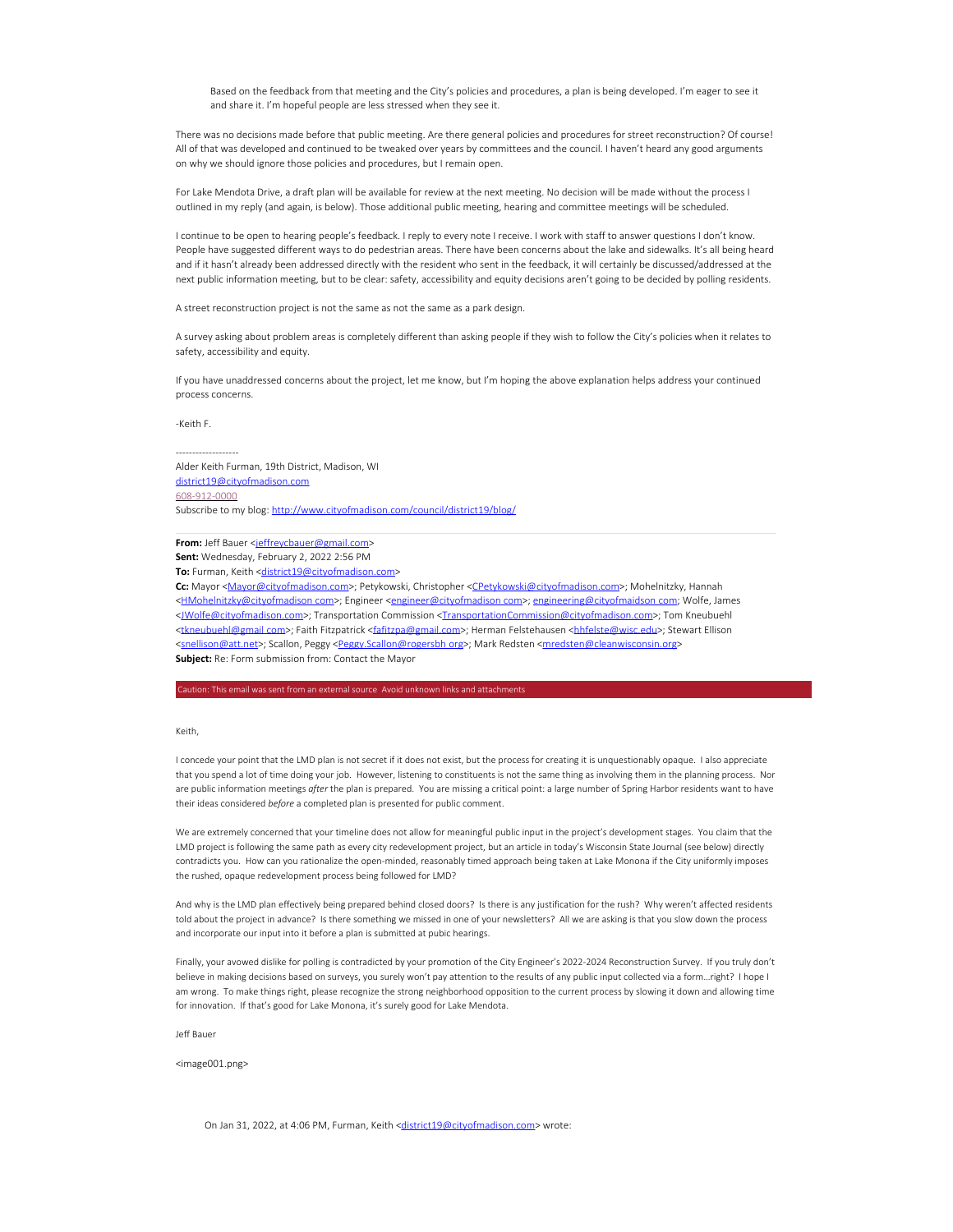Based on the feedback from that meeting and the City's policies and procedures, a plan is being developed. I'm eager to see it and share it. I'm hopeful people are less stressed when they see it.

There was no decisions made before that public meeting. Are there general policies and procedures for street reconstruction? Of course! All of that was developed and continued to be tweaked over years by committees and the council. I haven't heard any good arguments on why we should ignore those policies and procedures, but I remain open.

For Lake Mendota Drive, a draft plan will be available for review at the next meeting. No decision will be made without the process I outlined in my reply (and again, is below). Those additional public meeting, hearing and committee meetings will be scheduled.

I continue to be open to hearing people's feedback. I reply to every note I receive. I work with staff to answer questions I don't know. People have suggested different ways to do pedestrian areas. There have been concerns about the lake and sidewalks. It's all being heard and if it hasn't already been addressed directly with the resident who sent in the feedback, it will certainly be discussed/addressed at the next public information meeting, but to be clear: safety, accessibility and equity decisions aren't going to be decided by polling residents.

A street reconstruction project is not the same as not the same as a park design.

A survey asking about problem areas is completely different than asking people if they wish to follow the City's policies when it relates to safety, accessibility and equity.

If you have unaddressed concerns about the project, let me know, but I'm hoping the above explanation helps address your continued process concerns.

#### -Keith F.

-------------------

Alder Keith Furman, 19th District, Madison, WI district19@cityofmadison.com 608-912-0000 Subscribe to my blog: http://www.cityofmadison.com/council/district19/blog/

# **From:** Jeff Bauer <jeffreycbauer@gmail.com>

**Sent:** Wednesday, February 2, 2022 2:56 PM

To: Furman, Keith <district19@cityofmadison.com>

**Cc:** Mayor <Mayor@cityofmadison.com>; Petykowski, Christopher <CPetykowski@cityofmadison.com>; Mohelnitzky, Hannah <HMohelnitzky@cityofmadison com>; Engineer <engineer@cityofmadison com>; engineering@cityofmaidson com; Wolfe, James <JWolfe@cityofmadison.com>; Transportation Commission <TransportationCommission@cityofmadison.com>; Tom Kneubuehl <tkneubuehl@gmail com>; Faith Fitzpatrick <fafitzpa@gmail.com>; Herman Felstehausen <hhfelste@wisc.edu>; Stewart Ellison <snellison@att.net>; Scallon, Peggy <Peggy.Scallon@rogersbh org>; Mark Redsten <mredsten@cleanwisconsin.org> **Subject:** Re: Form submission from: Contact the Mayor

aution: This email was sent from an external source Avoid unknown links and attachme

#### Keith,

I concede your point that the LMD plan is not secret if it does not exist, but the process for creating it is unquestionably opaque. I also appreciate that you spend a lot of time doing your job. However, listening to constituents is not the same thing as involving them in the planning process. Nor are public information meetings *after* the plan is prepared. You are missing a critical point: a large number of Spring Harbor residents want to have their ideas considered *before* a completed plan is presented for public comment.

We are extremely concerned that your timeline does not allow for meaningful public input in the project's development stages. You claim that the LMD project is following the same path as every city redevelopment project, but an article in today's Wisconsin State Journal (see below) directly contradicts you. How can you rationalize the open-minded, reasonably timed approach being taken at Lake Monona if the City uniformly imposes the rushed, opaque redevelopment process being followed for LMD?

And why is the LMD plan effectively being prepared behind closed doors? Is there is any justification for the rush? Why weren't affected residents told about the project in advance? Is there something we missed in one of your newsletters? All we are asking is that you slow down the process and incorporate our input into it before a plan is submitted at pubic hearings.

Finally, your avowed dislike for polling is contradicted by your promotion of the City Engineer's 2022-2024 Reconstruction Survey. If you truly don't believe in making decisions based on surveys, you surely won't pay attention to the results of any public input collected via a form…right? I hope I am wrong. To make things right, please recognize the strong neighborhood opposition to the current process by slowing it down and allowing time for innovation. If that's good for Lake Monona, it's surely good for Lake Mendota.

Jeff Bauer

<image001.png>

On Jan 31, 2022, at 4:06 PM, Furman, Keith <district19@cityofmadison.com> wrote: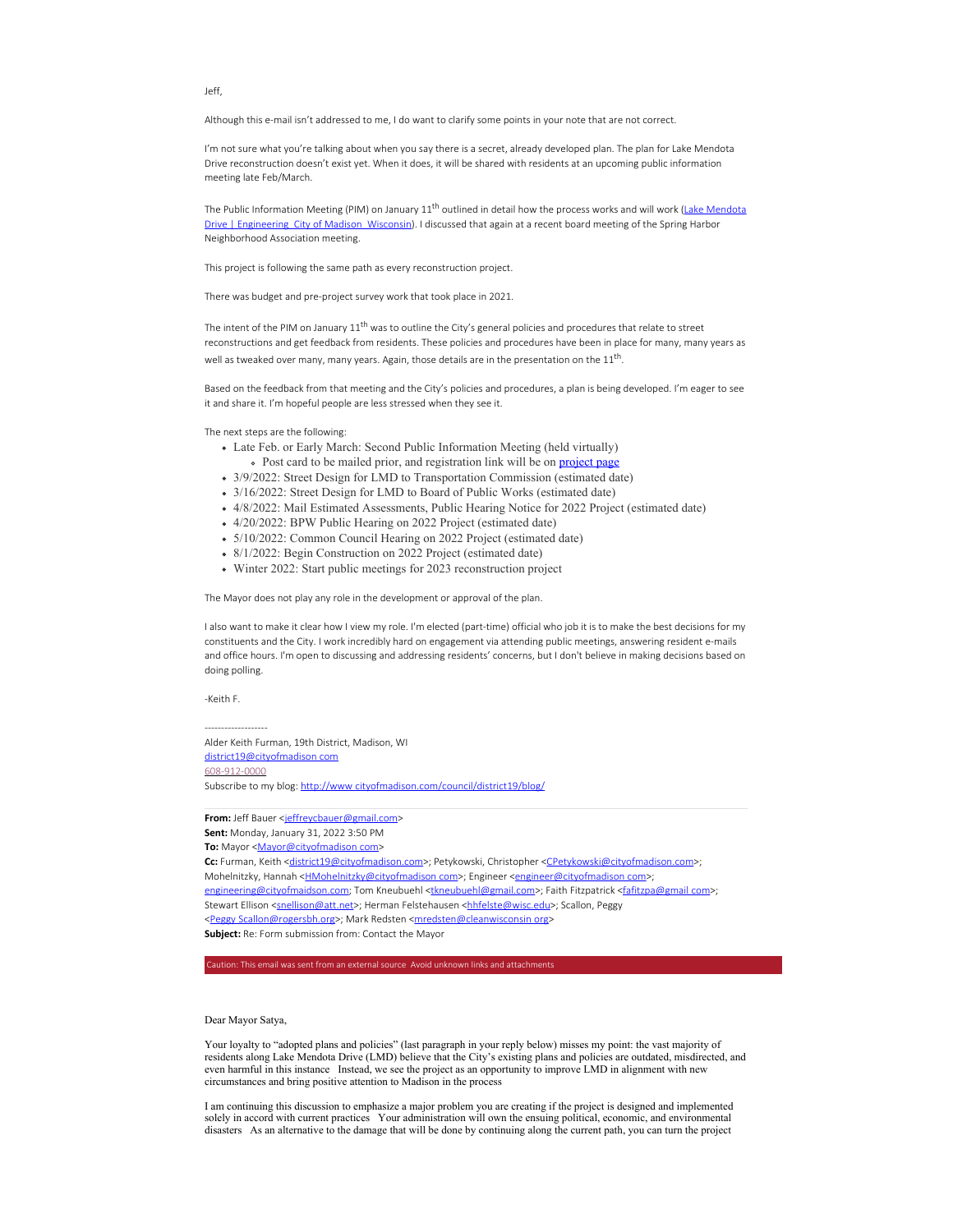Jeff,

Although this e-mail isn't addressed to me, I do want to clarify some points in your note that are not correct.

I'm not sure what you're talking about when you say there is a secret, already developed plan. The plan for Lake Mendota Drive reconstruction doesn't exist yet. When it does, it will be shared with residents at an upcoming public information meeting late Feb/March.

The Public Information Meeting (PIM) on January  $11^{th}$  outlined in detail how the process works and will work (Lake Mendota Drive | Engineering City of Madison Wisconsin). I discussed that again at a recent board meeting of the Spring Harbor Neighborhood Association meeting.

This project is following the same path as every reconstruction project.

There was budget and pre-project survey work that took place in 2021.

The intent of the PIM on January 11<sup>th</sup> was to outline the City's general policies and procedures that relate to street reconstructions and get feedback from residents. These policies and procedures have been in place for many, many years as well as tweaked over many, many years. Again, those details are in the presentation on the  $11<sup>th</sup>$ .

Based on the feedback from that meeting and the City's policies and procedures, a plan is being developed. I'm eager to see it and share it. I'm hopeful people are less stressed when they see it.

The next steps are the following:

- Late Feb. or Early March: Second Public Information Meeting (held virtually) o Post card to be mailed prior, and registration link will be on project page
- 3/9/2022: Street Design for LMD to Transportation Commission (estimated date)
- 3/16/2022: Street Design for LMD to Board of Public Works (estimated date)
- 4/8/2022: Mail Estimated Assessments, Public Hearing Notice for 2022 Project (estimated date)
- 4/20/2022: BPW Public Hearing on 2022 Project (estimated date)
- 5/10/2022: Common Council Hearing on 2022 Project (estimated date)
- 8/1/2022: Begin Construction on 2022 Project (estimated date)
- Winter 2022: Start public meetings for 2023 reconstruction project

The Mayor does not play any role in the development or approval of the plan.

I also want to make it clear how I view my role. I'm elected (part-time) official who job it is to make the best decisions for my constituents and the City. I work incredibly hard on engagement via attending public meetings, answering resident e-mails and office hours. I'm open to discussing and addressing residents' concerns, but I don't believe in making decisions based on doing polling.

-Keith F.

-------------------

Alder Keith Furman, 19th District, Madison, WI district19@cityofmadison com 608-912-0000 Subscribe to my blog: http://www cityofmadison.com/council/district19/blog/

From: Jeff Bauer <jeffreycbauer@gmail.com> **Sent:** Monday, January 31, 2022 3:50 PM **To:** Mayor <Mayor@cityofmadison com> Cc: Furman, Keith <district19@cityofmadison.com>; Petykowski, Christopher <CPetykowski@cityofmadison.com>; Mohelnitzky, Hannah <**HMohelnitzky@cityofmadison com>**; Engineer <engineer@cityofmadison com>; engineering@cityofmaidson.com; Tom Kneubuehl <tkneubuehl@gmail.com>; Faith Fitzpatrick <fafitzpa@gmail com>; Stewart Ellison <snellison@att.net>; Herman Felstehausen <hhfelste@wisc.edu>; Scallon, Peggy <Peggy Scallon@rogersbh.org>; Mark Redsten <mredsten@cleanwisconsin org> **Subject:** Re: Form submission from: Contact the Mayor

## Dear Mayor Satya,

Your loyalty to "adopted plans and policies" (last paragraph in your reply below) misses my point: the vast majority of residents along Lake Mendota Drive (LMD) believe that the City's existing plans and policies are outdated, misdirected, and even harmful in this instance Instead, we see the project as an opportunity to improve LMD in alignment with new circumstances and bring positive attention to Madison in the process

I am continuing this discussion to emphasize a major problem you are creating if the project is designed and implemented solely in accord with current practices Your administration will own the ensuing political, economic, and environmental disasters As an alternative to the damage that will be done by continuing along the current path, you can turn the project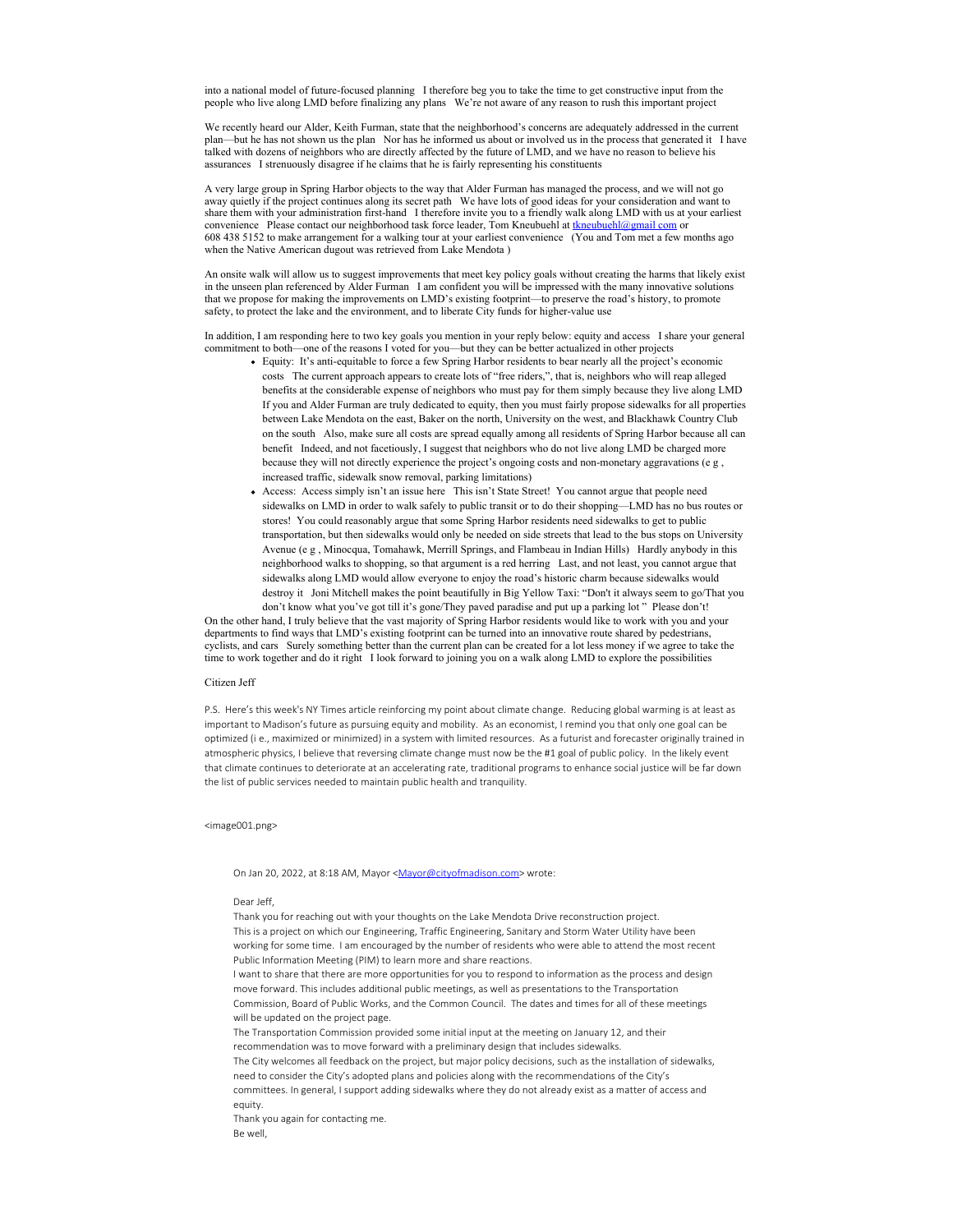into a national model of future-focused planning I therefore beg you to take the time to get constructive input from the people who live along LMD before finalizing any plans We're not aware of any reason to rush this important project

We recently heard our Alder, Keith Furman, state that the neighborhood's concerns are adequately addressed in the current plan—but he has not shown us the plan Nor has he informed us about or involved us in the process that generated it I have talked with dozens of neighbors who are directly affected by the future of LMD, and we have no reason to believe his assurances I strenuously disagree if he claims that he is fairly representing his constituents

A very large group in Spring Harbor objects to the way that Alder Furman has managed the process, and we will not go away quietly if the project continues along its secret path We have lots of good ideas for your consideration and want to share them with your administration first-hand I therefore invite you to a friendly walk along LMD with us at your earliest convenience Please contact our neighborhood task force leader, Tom Kneubuehl at tkneubuehl@gmail com or 608 438 5152 to make arrangement for a walking tour at your earliest convenience (You and Tom met a few months ago when the Native American dugout was retrieved from Lake Mendota )

An onsite walk will allow us to suggest improvements that meet key policy goals without creating the harms that likely exist in the unseen plan referenced by Alder Furman I am confident you will be impressed with the many innovative solutions that we propose for making the improvements on LMD's existing footprint—to preserve the road's history, to promote safety, to protect the lake and the environment, and to liberate City funds for higher-value use

In addition, I am responding here to two key goals you mention in your reply below: equity and access I share your general commitment to both—one of the reasons I voted for you—but they can be better actualized in other projects

- Equity: It's anti-equitable to force a few Spring Harbor residents to bear nearly all the project's economic costs The current approach appears to create lots of "free riders,", that is, neighbors who will reap alleged benefits at the considerable expense of neighbors who must pay for them simply because they live along LMD If you and Alder Furman are truly dedicated to equity, then you must fairly propose sidewalks for all properties between Lake Mendota on the east, Baker on the north, University on the west, and Blackhawk Country Club on the south Also, make sure all costs are spread equally among all residents of Spring Harbor because all can benefit Indeed, and not facetiously, I suggest that neighbors who do not live along LMD be charged more because they will not directly experience the project's ongoing costs and non-monetary aggravations (e g , increased traffic, sidewalk snow removal, parking limitations)
- Access: Access simply isn't an issue here This isn't State Street! You cannot argue that people need sidewalks on LMD in order to walk safely to public transit or to do their shopping—LMD has no bus routes or stores! You could reasonably argue that some Spring Harbor residents need sidewalks to get to public transportation, but then sidewalks would only be needed on side streets that lead to the bus stops on University Avenue (e g , Minocqua, Tomahawk, Merrill Springs, and Flambeau in Indian Hills) Hardly anybody in this neighborhood walks to shopping, so that argument is a red herring Last, and not least, you cannot argue that sidewalks along LMD would allow everyone to enjoy the road's historic charm because sidewalks would destroy it Joni Mitchell makes the point beautifully in Big Yellow Taxi: "Don't it always seem to go/That you don't know what you've got till it's gone/They paved paradise and put up a parking lot " Please don't!

On the other hand, I truly believe that the vast majority of Spring Harbor residents would like to work with you and your departments to find ways that LMD's existing footprint can be turned into an innovative route shared by pedestrians, cyclists, and cars Surely something better than the current plan can be created for a lot less money if we agree to take the time to work together and do it right I look forward to joining you on a walk along LMD to explore the possibilities

# Citizen Jeff

P.S. Here's this week's NY Times article reinforcing my point about climate change. Reducing global warming is at least as important to Madison's future as pursuing equity and mobility. As an economist, I remind you that only one goal can be optimized (i e., maximized or minimized) in a system with limited resources. As a futurist and forecaster originally trained in atmospheric physics, I believe that reversing climate change must now be the #1 goal of public policy. In the likely event that climate continues to deteriorate at an accelerating rate, traditional programs to enhance social justice will be far down the list of public services needed to maintain public health and tranquility.

### <image001.png>

### On Jan 20, 2022, at 8:18 AM, Mayor <Mayor@cityofmadison.com> wrote:

Dear Jeff,

Thank you for reaching out with your thoughts on the Lake Mendota Drive reconstruction project. This is a project on which our Engineering, Traffic Engineering, Sanitary and Storm Water Utility have been working for some time. I am encouraged by the number of residents who were able to attend the most recent Public Information Meeting (PIM) to learn more and share reactions.

I want to share that there are more opportunities for you to respond to information as the process and design move forward. This includes additional public meetings, as well as presentations to the Transportation Commission, Board of Public Works, and the Common Council. The dates and times for all of these meetings will be updated on the project page.

The Transportation Commission provided some initial input at the meeting on January 12, and their recommendation was to move forward with a preliminary design that includes sidewalks.

The City welcomes all feedback on the project, but major policy decisions, such as the installation of sidewalks, need to consider the City's adopted plans and policies along with the recommendations of the City's committees. In general, I support adding sidewalks where they do not already exist as a matter of access and equity.

Thank you again for contacting me. Be well,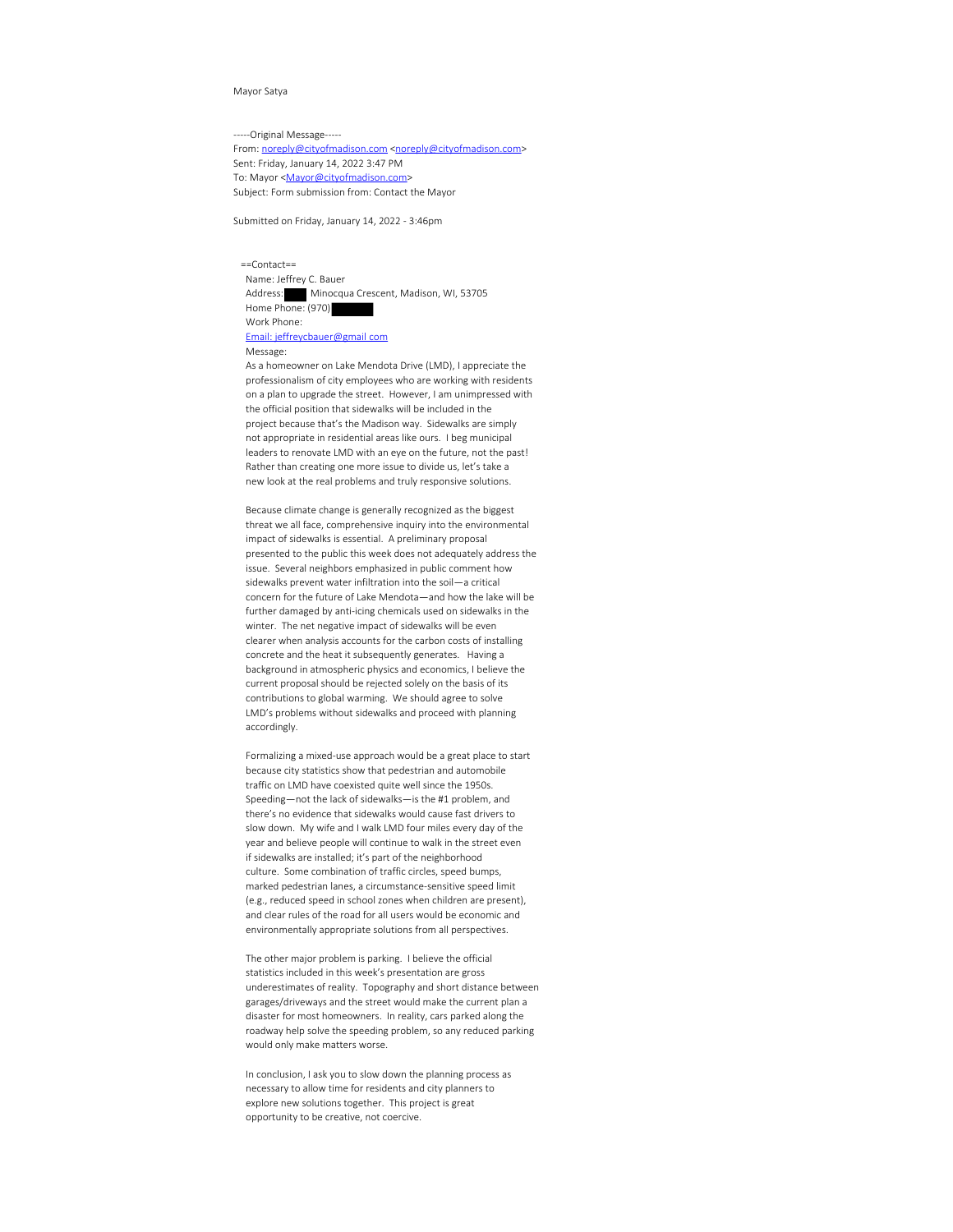## Mayor Satya

-----Original Message-----

From: noreply@cityofmadison.com <noreply@cityofmadison.com> Sent: Friday, January 14, 2022 3:47 PM To: Mayor <Mayor@cityofmadison.com> Subject: Form submission from: Contact the Mayor

Submitted on Friday, January 14, 2022 - 3:46pm

 ==Contact== Name: Jeffrey C. Bauer Address: Minocqua Crescent, Madison, WI, 53705 Home Phone: (970) Work Phone: Email: jeffreycbauer@gmail com Message:

 As a homeowner on Lake Mendota Drive (LMD), I appreciate the professionalism of city employees who are working with residents on a plan to upgrade the street. However, I am unimpressed with the official position that sidewalks will be included in the project because that's the Madison way. Sidewalks are simply not appropriate in residential areas like ours. I beg municipal leaders to renovate LMD with an eye on the future, not the past! Rather than creating one more issue to divide us, let's take a new look at the real problems and truly responsive solutions.

 Because climate change is generally recognized as the biggest threat we all face, comprehensive inquiry into the environmental impact of sidewalks is essential. A preliminary proposal presented to the public this week does not adequately address the issue. Several neighbors emphasized in public comment how sidewalks prevent water infiltration into the soil—a critical concern for the future of Lake Mendota—and how the lake will be further damaged by anti-icing chemicals used on sidewalks in the winter. The net negative impact of sidewalks will be even clearer when analysis accounts for the carbon costs of installing concrete and the heat it subsequently generates. Having a background in atmospheric physics and economics, I believe the current proposal should be rejected solely on the basis of its contributions to global warming. We should agree to solve LMD's problems without sidewalks and proceed with planning accordingly.

 Formalizing a mixed-use approach would be a great place to start because city statistics show that pedestrian and automobile traffic on LMD have coexisted quite well since the 1950s. Speeding—not the lack of sidewalks—is the #1 problem, and there's no evidence that sidewalks would cause fast drivers to slow down. My wife and I walk LMD four miles every day of the year and believe people will continue to walk in the street even if sidewalks are installed; it's part of the neighborhood culture. Some combination of traffic circles, speed bumps, marked pedestrian lanes, a circumstance-sensitive speed limit (e.g., reduced speed in school zones when children are present), and clear rules of the road for all users would be economic and environmentally appropriate solutions from all perspectives.

 The other major problem is parking. I believe the official statistics included in this week's presentation are gross underestimates of reality. Topography and short distance between garages/driveways and the street would make the current plan a disaster for most homeowners. In reality, cars parked along the roadway help solve the speeding problem, so any reduced parking would only make matters worse.

 In conclusion, I ask you to slow down the planning process as necessary to allow time for residents and city planners to explore new solutions together. This project is great opportunity to be creative, not coercive.